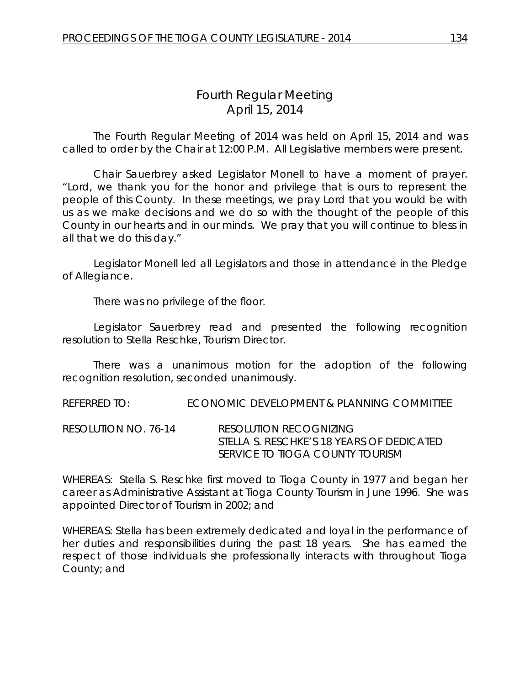# *Fourth Regular Meeting* April 15, 2014

The Fourth Regular Meeting of 2014 was held on April 15, 2014 and was called to order by the Chair at 12:00 P.M. All Legislative members were present.

Chair Sauerbrey asked Legislator Monell to have a moment of prayer. "Lord, we thank you for the honor and privilege that is ours to represent the people of this County. In these meetings, we pray Lord that you would be with us as we make decisions and we do so with the thought of the people of this County in our hearts and in our minds. We pray that you will continue to bless in all that we do this day."

Legislator Monell led all Legislators and those in attendance in the Pledge of Allegiance.

There was no privilege of the floor.

Legislator Sauerbrey read and presented the following recognition resolution to Stella Reschke, Tourism Director.

There was a unanimous motion for the adoption of the following recognition resolution, seconded unanimously.

REFERRED TO: ECONOMIC DEVELOPMENT & PLANNING COMMITTEE

RESOLUTION NO. 76-14 *RESOLUTION RECOGNIZING STELLA S. RESCHKE'S 18 YEARS OF DEDICATED SERVICE TO TIOGA COUNTY TOURISM*

WHEREAS: Stella S. Reschke first moved to Tioga County in 1977 and began her career as Administrative Assistant at Tioga County Tourism in June 1996. She was appointed Director of Tourism in 2002; and

WHEREAS: Stella has been extremely dedicated and loyal in the performance of her duties and responsibilities during the past 18 years. She has earned the respect of those individuals she professionally interacts with throughout Tioga County; and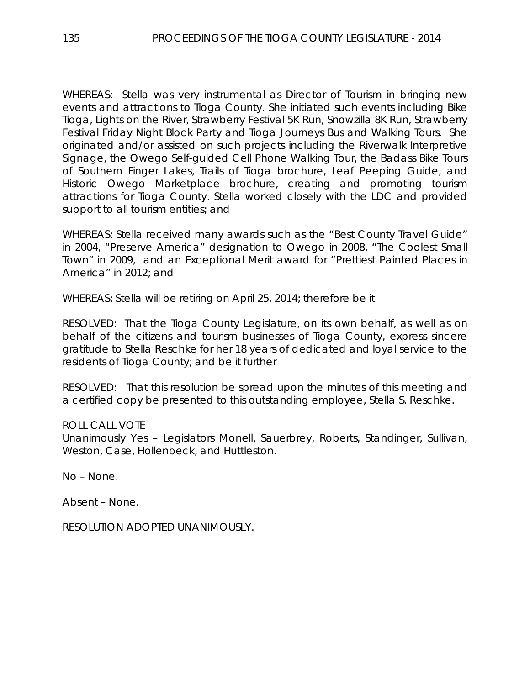WHEREAS: Stella was very instrumental as Director of Tourism in bringing new events and attractions to Tioga County. She initiated such events including Bike Tioga, Lights on the River, Strawberry Festival 5K Run, Snowzilla 8K Run, Strawberry Festival Friday Night Block Party and Tioga Journeys Bus and Walking Tours. She originated and/or assisted on such projects including the Riverwalk Interpretive Signage, the Owego Self-guided Cell Phone Walking Tour, the Badass Bike Tours of Southern Finger Lakes, Trails of Tioga brochure, Leaf Peeping Guide, and Historic Owego Marketplace brochure, creating and promoting tourism attractions for Tioga County. Stella worked closely with the LDC and provided support to all tourism entities; and

WHEREAS: Stella received many awards such as the "Best County Travel Guide" in 2004, "Preserve America" designation to Owego in 2008, "The Coolest Small Town" in 2009, and an Exceptional Merit award for "Prettiest Painted Places in America" in 2012; and

WHEREAS: Stella will be retiring on April 25, 2014; therefore be it

RESOLVED: That the Tioga County Legislature, on its own behalf, as well as on behalf of the citizens and tourism businesses of Tioga County, express sincere gratitude to Stella Reschke for her 18 years of dedicated and loyal service to the residents of Tioga County; and be it further

RESOLVED: That this resolution be spread upon the minutes of this meeting and a certified copy be presented to this outstanding employee, Stella S. Reschke.

# ROLL CALL VOTE

Unanimously Yes – Legislators Monell, Sauerbrey, Roberts, Standinger, Sullivan, Weston, Case, Hollenbeck, and Huttleston.

No – None.

Absent – None.

RESOLUTION ADOPTED UNANIMOUSLY.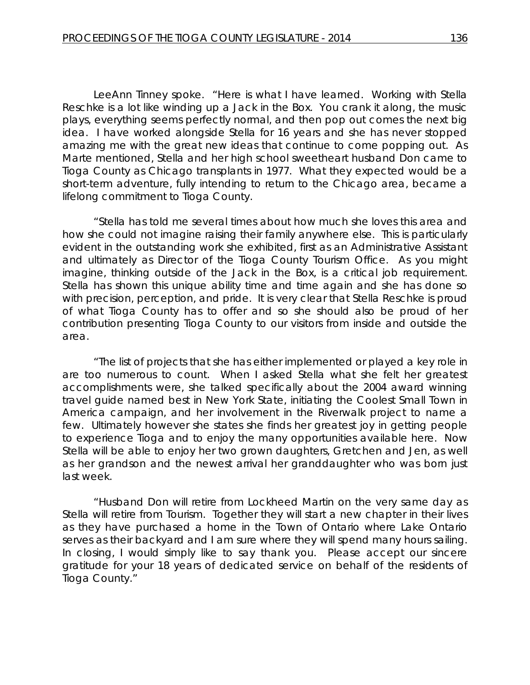LeeAnn Tinney spoke. "Here is what I have learned. Working with Stella Reschke is a lot like winding up a Jack in the Box. You crank it along, the music plays, everything seems perfectly normal, and then pop out comes the next big idea. I have worked alongside Stella for 16 years and she has never stopped amazing me with the great new ideas that continue to come popping out. As Marte mentioned, Stella and her high school sweetheart husband Don came to Tioga County as Chicago transplants in 1977. What they expected would be a short-term adventure, fully intending to return to the Chicago area, became a lifelong commitment to Tioga County.

"Stella has told me several times about how much she loves this area and how she could not imagine raising their family anywhere else. This is particularly evident in the outstanding work she exhibited, first as an Administrative Assistant and ultimately as Director of the Tioga County Tourism Office. As you might imagine, thinking outside of the Jack in the Box, is a critical job requirement. Stella has shown this unique ability time and time again and she has done so with precision, perception, and pride. It is very clear that Stella Reschke is proud of what Tioga County has to offer and so she should also be proud of her contribution presenting Tioga County to our visitors from inside and outside the area.

"The list of projects that she has either implemented or played a key role in are too numerous to count. When I asked Stella what she felt her greatest accomplishments were, she talked specifically about the 2004 award winning travel guide named best in New York State, initiating the Coolest Small Town in America campaign, and her involvement in the Riverwalk project to name a few. Ultimately however she states she finds her greatest joy in getting people to experience Tioga and to enjoy the many opportunities available here. Now Stella will be able to enjoy her two grown daughters, Gretchen and Jen, as well as her grandson and the newest arrival her granddaughter who was born just last week.

"Husband Don will retire from Lockheed Martin on the very same day as Stella will retire from Tourism. Together they will start a new chapter in their lives as they have purchased a home in the Town of Ontario where Lake Ontario serves as their backyard and I am sure where they will spend many hours sailing. In closing, I would simply like to say thank you. Please accept our sincere gratitude for your 18 years of dedicated service on behalf of the residents of Tioga County."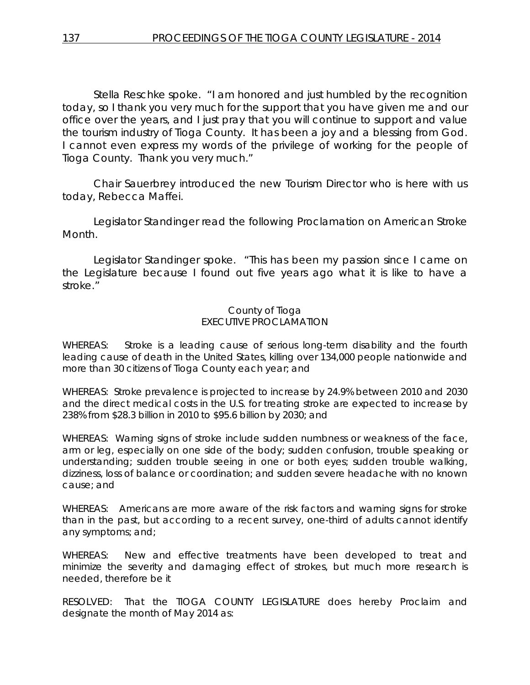Stella Reschke spoke. "I am honored and just humbled by the recognition today, so I thank you very much for the support that you have given me and our office over the years, and I just pray that you will continue to support and value the tourism industry of Tioga County. It has been a joy and a blessing from God. I cannot even express my words of the privilege of working for the people of Tioga County. Thank you very much."

Chair Sauerbrey introduced the new Tourism Director who is here with us today, Rebecca Maffei.

Legislator Standinger read the following Proclamation on American Stroke Month.

Legislator Standinger spoke. "This has been my passion since I came on the Legislature because I found out five years ago what it is like to have a stroke."

### County of Tioga EXECUTIVE PROCLAMATION

WHEREAS: Stroke is a leading cause of serious long-term disability and the fourth leading cause of death in the United States, killing over 134,000 people nationwide and more than 30 citizens of Tioga County each year; and

WHEREAS: Stroke prevalence is projected to increase by 24.9% between 2010 and 2030 and the direct medical costs in the U.S. for treating stroke are expected to increase by 238% from \$28.3 billion in 2010 to \$95.6 billion by 2030; and

WHEREAS: Warning signs of stroke include sudden numbness or weakness of the face, arm or leg, especially on one side of the body; sudden confusion, trouble speaking or understanding; sudden trouble seeing in one or both eyes; sudden trouble walking, dizziness, loss of balance or coordination; and sudden severe headache with no known cause; and

WHEREAS: Americans are more aware of the risk factors and warning signs for stroke than in the past, but according to a recent survey, one-third of adults cannot identify any symptoms; and;

WHEREAS: New and effective treatments have been developed to treat and minimize the severity and damaging effect of strokes, but much more research is needed, therefore be it

RESOLVED: That the TIOGA COUNTY LEGISLATURE does hereby Proclaim and designate the month of May 2014 as: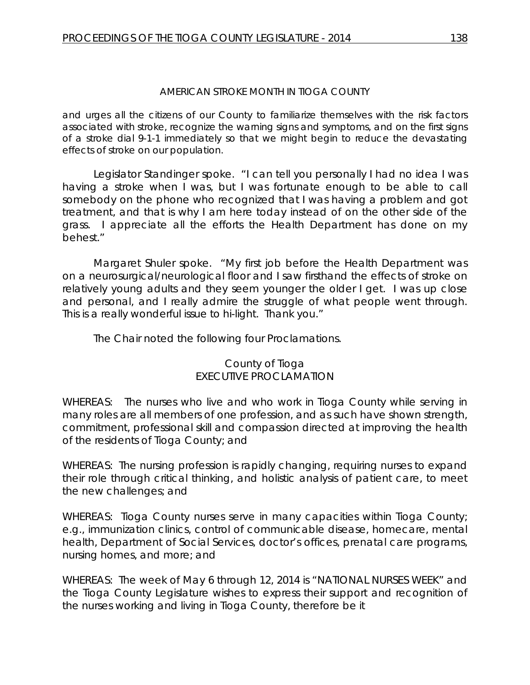# *AMERICAN STROKE MONTH IN TIOGA COUNTY*

and urges all the citizens of our County to familiarize themselves with the risk factors associated with stroke, recognize the warning signs and symptoms, and on the first signs of a stroke dial 9-1-1 immediately so that we might begin to reduce the devastating effects of stroke on our population.

Legislator Standinger spoke. "I can tell you personally I had no idea I was having a stroke when I was, but I was fortunate enough to be able to call somebody on the phone who recognized that I was having a problem and got treatment, and that is why I am here today instead of on the other side of the grass. I appreciate all the efforts the Health Department has done on my behest."

Margaret Shuler spoke. "My first job before the Health Department was on a neurosurgical/neurological floor and I saw firsthand the effects of stroke on relatively young adults and they seem younger the older I get. I was up close and personal, and I really admire the struggle of what people went through. This is a really wonderful issue to hi-light. Thank you."

The Chair noted the following four Proclamations.

# County of Tioga EXECUTIVE PROCLAMATION

WHEREAS: The nurses who live and who work in Tioga County while serving in many roles are all members of one profession, and as such have shown strength, commitment, professional skill and compassion directed at improving the health of the residents of Tioga County; and

WHEREAS: The nursing profession is rapidly changing, requiring nurses to expand their role through critical thinking, and holistic analysis of patient care, to meet the new challenges; and

WHEREAS: Tioga County nurses serve in many capacities within Tioga County; e.g., immunization clinics, control of communicable disease, homecare, mental health, Department of Social Services, doctor's offices, prenatal care programs, nursing homes, and more; and

WHEREAS: The week of May 6 through 12, 2014 is "NATIONAL NURSES WEEK" and the Tioga County Legislature wishes to express their support and recognition of the nurses working and living in Tioga County, therefore be it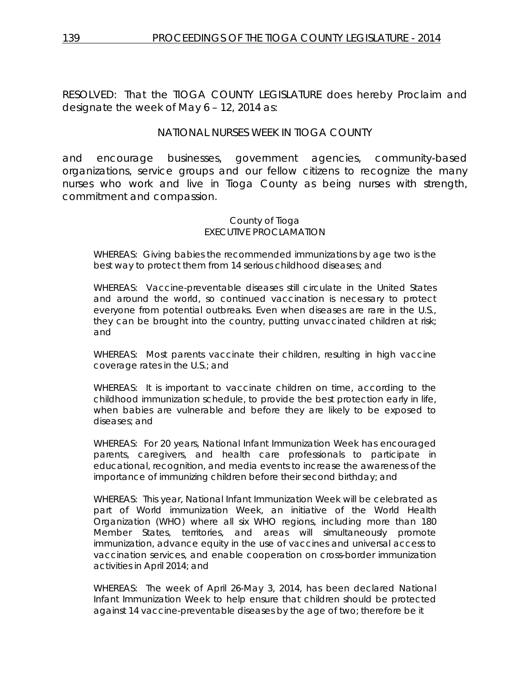RESOLVED: That the TIOGA COUNTY LEGISLATURE does hereby Proclaim and designate the week of May 6 – 12, 2014 as:

# *NATIONAL NURSES WEEK IN TIOGA COUNTY*

and encourage businesses, government agencies, community-based organizations, service groups and our fellow citizens to recognize the many nurses who work and live in Tioga County as being nurses with strength, commitment and compassion.

#### *County of Tioga EXECUTIVE PROCLAMATION*

WHEREAS: Giving babies the recommended immunizations by age two is the best way to protect them from 14 serious childhood diseases; and

WHEREAS: Vaccine-preventable diseases still circulate in the United States and around the world, so continued vaccination is necessary to protect everyone from potential outbreaks. Even when diseases are rare in the U.S., they can be brought into the country, putting unvaccinated children at risk; and

WHEREAS: Most parents vaccinate their children, resulting in high vaccine coverage rates in the U.S.; and

WHEREAS: It is important to vaccinate children on time, according to the childhood immunization schedule, to provide the best protection early in life, when babies are vulnerable and before they are likely to be exposed to diseases; and

WHEREAS: For 20 years, National Infant Immunization Week has encouraged parents, caregivers, and health care professionals to participate in educational, recognition, and media events to increase the awareness of the importance of immunizing children before their second birthday; and

WHEREAS: This year, National Infant Immunization Week will be celebrated as part of World immunization Week, an initiative of the World Health Organization (WHO) where all six WHO regions, including more than 180 Member States, territories, and areas will simultaneously promote immunization, advance equity in the use of vaccines and universal access to vaccination services, and enable cooperation on cross-border immunization activities in April 2014; and

WHEREAS: The week of April 26-May 3, 2014, has been declared National Infant Immunization Week to help ensure that children should be protected against 14 vaccine-preventable diseases by the age of two; therefore be it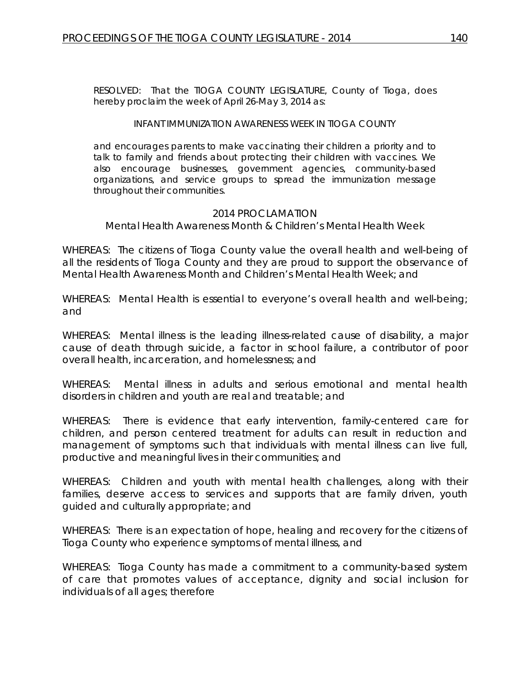RESOLVED: That the TIOGA COUNTY LEGISLATURE, County of Tioga, does hereby proclaim the week of April 26-May 3, 2014 as:

#### INFANT IMMUNIZATION AWARENESS WEEK IN TIOGA COUNTY

and encourages parents to make vaccinating their children a priority and to talk to family and friends about protecting their children with vaccines. We also encourage businesses, government agencies, community-based organizations, and service groups to spread the immunization message throughout their communities.

#### 2014 PROCLAMATION

#### *Mental Health Awareness Month & Children's Mental Health Week*

WHEREAS: The citizens of Tioga County value the overall health and well-being of all the residents of Tioga County and they are proud to support the observance of Mental Health Awareness Month and Children's Mental Health Week; and

WHEREAS: Mental Health is essential to everyone's overall health and well-being; and

WHEREAS: Mental illness is the leading illness-related cause of disability, a major cause of death through suicide, a factor in school failure, a contributor of poor overall health, incarceration, and homelessness; and

WHEREAS: Mental illness in adults and serious emotional and mental health disorders in children and youth are real and treatable; and

WHEREAS: There is evidence that early intervention, family-centered care for children, and person centered treatment for adults can result in reduction and management of symptoms such that individuals with mental illness can live full, productive and meaningful lives in their communities; and

WHEREAS: Children and youth with mental health challenges, along with their families, deserve access to services and supports that are family driven, youth guided and culturally appropriate; and

WHEREAS: There is an expectation of hope, healing and recovery for the citizens of Tioga County who experience symptoms of mental illness, and

WHEREAS: Tioga County has made a commitment to a community-based system of care that promotes values of acceptance, dignity and social inclusion for individuals of all ages; therefore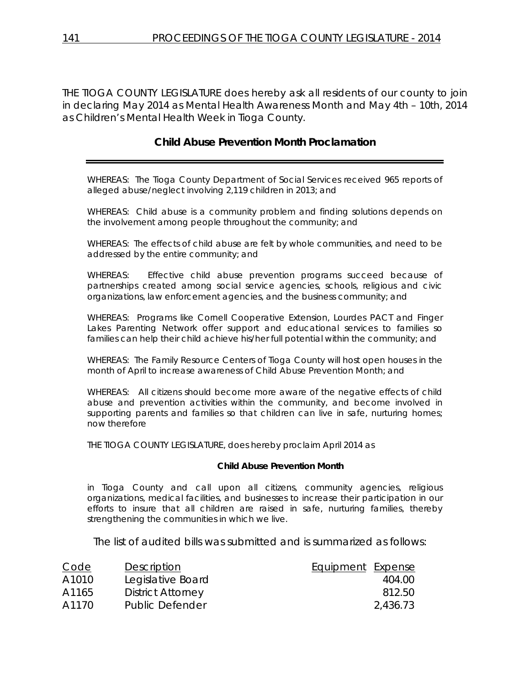THE TIOGA COUNTY LEGISLATURE does hereby ask all residents of our county to join in declaring May 2014 as *Mental Health Awareness Month* and May 4th – 10th, 2014 as *Children's Mental Health Week* in Tioga County.

# **Child Abuse Prevention Month Proclamation**

WHEREAS: The Tioga County Department of Social Services received 965 reports of alleged abuse/neglect involving 2,119 children in 2013; and

WHEREAS: Child abuse is a community problem and finding solutions depends on the involvement among people throughout the community; and

WHEREAS: The effects of child abuse are felt by whole communities, and need to be addressed by the entire community; and

WHEREAS: Effective child abuse prevention programs succeed because of partnerships created among social service agencies, schools, religious and civic organizations, law enforcement agencies, and the business community; and

WHEREAS: Programs like Cornell Cooperative Extension, Lourdes PACT and Finger Lakes Parenting Network offer support and educational services to families so families can help their child achieve his/her full potential within the community; and

WHEREAS: The Family Resource Centers of Tioga County will host open houses in the month of April to increase awareness of Child Abuse Prevention Month; and

WHEREAS: All citizens should become more aware of the negative effects of child abuse and prevention activities within the community, and become involved in supporting parents and families so that children can live in safe, nurturing homes; now therefore

THE TIOGA COUNTY LEGISLATURE, does hereby proclaim April 2014 as

#### *Child Abuse Prevention Month*

in Tioga County and call upon all citizens, community agencies, religious organizations, medical facilities, and businesses to increase their participation in our efforts to insure that all children are raised in safe, nurturing families, thereby strengthening the communities in which we live.

The list of audited bills was submitted and is summarized as follows:

| Code  | Description              | <b>Equipment Expense</b> |          |
|-------|--------------------------|--------------------------|----------|
| A1010 | Legislative Board        |                          | 404.00   |
| A1165 | <b>District Attorney</b> |                          | 812.50   |
| A1170 | Public Defender          |                          | 2,436.73 |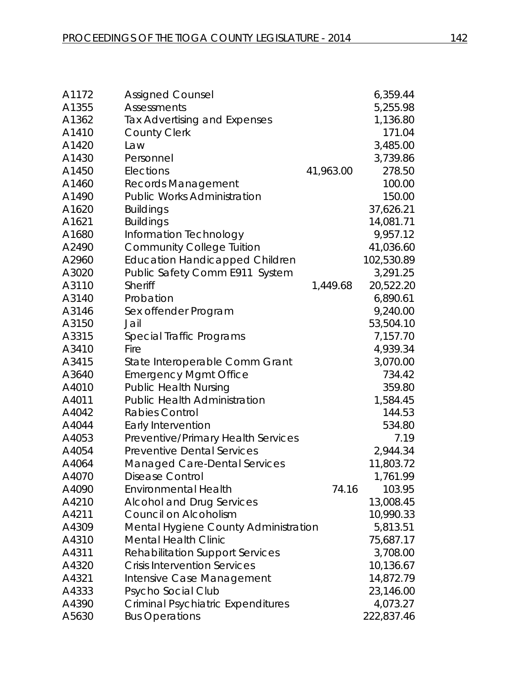| A1172 | <b>Assigned Counsel</b>                  |           | 6,359.44   |
|-------|------------------------------------------|-----------|------------|
| A1355 | Assessments                              |           | 5,255.98   |
| A1362 | Tax Advertising and Expenses             |           | 1,136.80   |
| A1410 | <b>County Clerk</b>                      |           | 171.04     |
| A1420 | Law                                      |           | 3,485.00   |
| A1430 | Personnel                                |           | 3,739.86   |
| A1450 | Elections                                | 41,963.00 | 278.50     |
| A1460 | <b>Records Management</b>                |           | 100.00     |
| A1490 | <b>Public Works Administration</b>       |           | 150.00     |
| A1620 | <b>Buildings</b>                         |           | 37,626.21  |
| A1621 | <b>Buildings</b>                         |           | 14,081.71  |
| A1680 | Information Technology                   |           | 9,957.12   |
| A2490 | <b>Community College Tuition</b>         |           | 41,036.60  |
| A2960 | <b>Education Handicapped Children</b>    |           | 102,530.89 |
| A3020 | Public Safety Comm E911 System           |           | 3,291.25   |
| A3110 | Sheriff                                  | 1,449.68  | 20,522.20  |
| A3140 | Probation                                |           | 6,890.61   |
| A3146 | Sex offender Program                     |           | 9,240.00   |
| A3150 | Jail                                     |           | 53,504.10  |
| A3315 | Special Traffic Programs                 |           | 7,157.70   |
| A3410 | Fire                                     |           | 4,939.34   |
| A3415 | State Interoperable Comm Grant           |           | 3,070.00   |
| A3640 | <b>Emergency Mgmt Office</b>             |           | 734.42     |
| A4010 | <b>Public Health Nursing</b>             |           | 359.80     |
| A4011 | <b>Public Health Administration</b>      |           | 1,584.45   |
| A4042 | <b>Rabies Control</b>                    |           | 144.53     |
| A4044 | Early Intervention                       |           | 534.80     |
| A4053 | Preventive/Primary Health Services       |           | 7.19       |
| A4054 | <b>Preventive Dental Services</b>        |           | 2,944.34   |
| A4064 | <b>Managed Care-Dental Services</b>      |           | 11,803.72  |
| A4070 | Disease Control                          |           | 1,761.99   |
| A4090 | <b>Environmental Health</b>              | 74.16     | 103.95     |
| A4210 | <b>Alcohol and Drug Services</b>         |           | 13,008.45  |
| A4211 | Council on Alcoholism                    |           | 10,990.33  |
| A4309 | Mental Hygiene County Administration     |           | 5,813.51   |
| A4310 | <b>Mental Health Clinic</b>              |           | 75,687.17  |
| A4311 | <b>Rehabilitation Support Services</b>   |           | 3,708.00   |
| A4320 | <b>Crisis Intervention Services</b>      |           | 10,136.67  |
| A4321 | Intensive Case Management                |           | 14,872.79  |
| A4333 | Psycho Social Club                       |           | 23,146.00  |
| A4390 | <b>Criminal Psychiatric Expenditures</b> |           | 4,073.27   |
| A5630 | <b>Bus Operations</b>                    |           | 222,837.46 |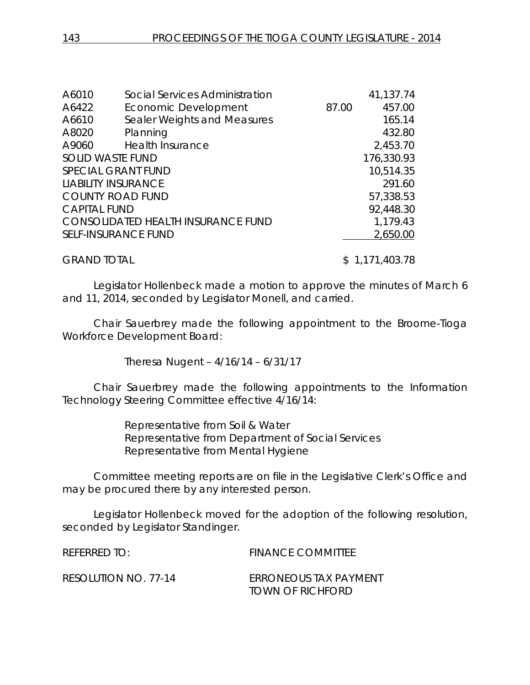| A6010               | Social Services Administration     |       | 41,137.74  |
|---------------------|------------------------------------|-------|------------|
| A6422               | Economic Development               | 87.00 | 457.00     |
| A6610               | Sealer Weights and Measures        |       | 165.14     |
| A8020               | Planning                           |       | 432.80     |
| A9060               | Health Insurance                   |       | 2,453.70   |
|                     | <b>SOLID WASTE FUND</b>            |       | 176,330.93 |
|                     | <b>SPECIAL GRANT FUND</b>          |       | 10,514.35  |
|                     | <b>LIABILITY INSURANCE</b>         |       | 291.60     |
|                     | <b>COUNTY ROAD FUND</b>            |       | 57,338.53  |
| <b>CAPITAL FUND</b> |                                    |       | 92,448.30  |
|                     | CONSOLIDATED HEALTH INSURANCE FUND |       | 1,179.43   |
|                     | <b>SELF-INSURANCE FUND</b>         |       | 2,650.00   |
|                     |                                    |       |            |
|                     |                                    |       |            |

GRAND TOTAL \$1,171,403.78

Legislator Hollenbeck made a motion to approve the minutes of March 6 and 11, 2014, seconded by Legislator Monell, and carried.

Chair Sauerbrey made the following appointment to the Broome-Tioga Workforce Development Board:

Theresa Nugent – 4/16/14 – 6/31/17

Chair Sauerbrey made the following appointments to the Information Technology Steering Committee effective 4/16/14:

> Representative from Soil & Water Representative from Department of Social Services Representative from Mental Hygiene

Committee meeting reports are on file in the Legislative Clerk's Office and may be procured there by any interested person.

Legislator Hollenbeck moved for the adoption of the following resolution, seconded by Legislator Standinger.

REFERRED TO: FINANCE COMMITTEE RESOLUTION NO. 77-14 *ERRONEOUS TAX PAYMENT TOWN OF RICHFORD*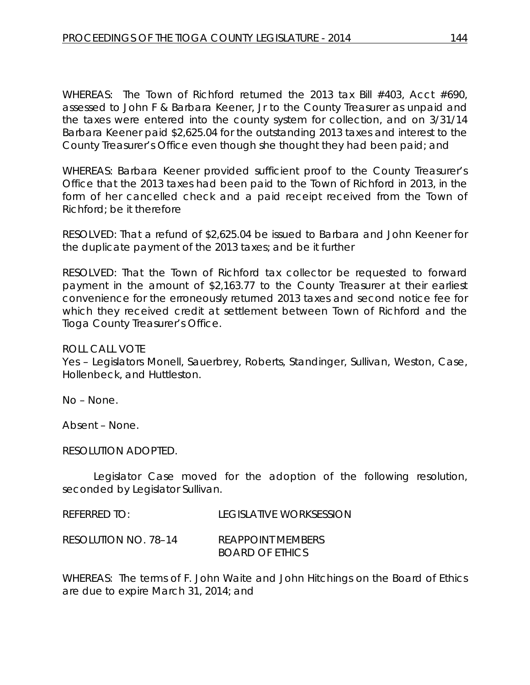WHEREAS: The Town of Richford returned the 2013 tax Bill #403, Acct #690, assessed to John F & Barbara Keener, Jr to the County Treasurer as unpaid and the taxes were entered into the county system for collection, and on 3/31/14 Barbara Keener paid \$2,625.04 for the outstanding 2013 taxes and interest to the County Treasurer's Office even though she thought they had been paid; and

WHEREAS: Barbara Keener provided sufficient proof to the County Treasurer's Office that the 2013 taxes had been paid to the Town of Richford in 2013, in the form of her cancelled check and a paid receipt received from the Town of Richford; be it therefore

RESOLVED: That a refund of \$2,625.04 be issued to Barbara and John Keener for the duplicate payment of the 2013 taxes; and be it further

RESOLVED: That the Town of Richford tax collector be requested to forward payment in the amount of \$2,163.77 to the County Treasurer at their earliest convenience for the erroneously returned 2013 taxes and second notice fee for which they received credit at settlement between Town of Richford and the Tioga County Treasurer's Office.

ROLL CALL VOTE

Yes – Legislators Monell, Sauerbrey, Roberts, Standinger, Sullivan, Weston, Case, Hollenbeck, and Huttleston.

No – None.

Absent – None.

RESOLUTION ADOPTED.

Legislator Case moved for the adoption of the following resolution, seconded by Legislator Sullivan.

REFERRED TO: LEGISLATIVE WORKSESSION

RESOLUTION NO. 78–14 *REAPPOINT MEMBERS BOARD OF ETHICS*

WHEREAS: The terms of F. John Waite and John Hitchings on the Board of Ethics are due to expire March 31, 2014; and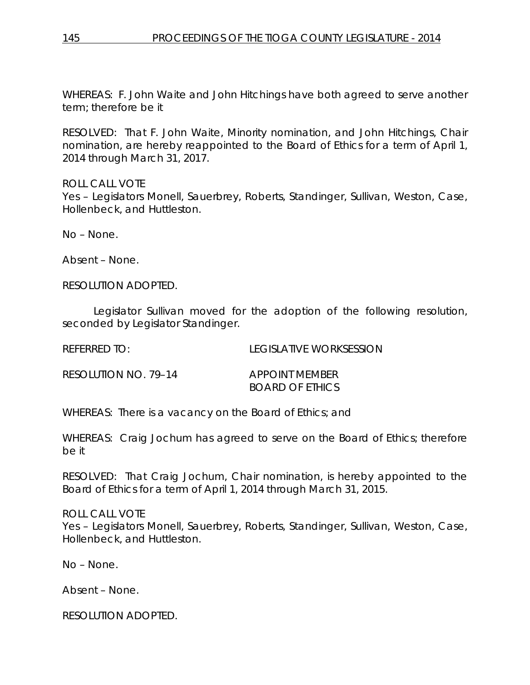WHEREAS: F. John Waite and John Hitchings have both agreed to serve another term; therefore be it

RESOLVED: That F. John Waite, Minority nomination, and John Hitchings, Chair nomination, are hereby reappointed to the Board of Ethics for a term of April 1, 2014 through March 31, 2017.

ROLL CALL VOTE

Yes – Legislators Monell, Sauerbrey, Roberts, Standinger, Sullivan, Weston, Case, Hollenbeck, and Huttleston.

No – None.

Absent – None.

RESOLUTION ADOPTED.

Legislator Sullivan moved for the adoption of the following resolution, seconded by Legislator Standinger.

REFERRED TO: LEGISLATIVE WORKSESSION RESOLUTION NO. 79–14 *APPOINT MEMBER*

*BOARD OF ETHICS*

WHEREAS: There is a vacancy on the Board of Ethics; and

WHEREAS: Craig Jochum has agreed to serve on the Board of Ethics; therefore be it

RESOLVED: That Craig Jochum, Chair nomination, is hereby appointed to the Board of Ethics for a term of April 1, 2014 through March 31, 2015.

ROLL CALL VOTE Yes – Legislators Monell, Sauerbrey, Roberts, Standinger, Sullivan, Weston, Case, Hollenbeck, and Huttleston.

No – None.

Absent – None.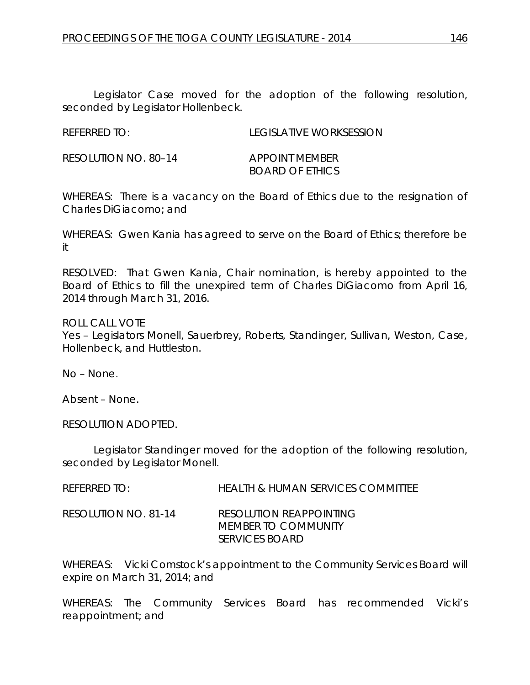Legislator Case moved for the adoption of the following resolution, seconded by Legislator Hollenbeck.

| <b>REFERRED TO:</b> | <b>LEGISLATIVE WORKSESSION</b> |
|---------------------|--------------------------------|

RESOLUTION NO. 80–14 *APPOINT MEMBER BOARD OF ETHICS*

WHEREAS: There is a vacancy on the Board of Ethics due to the resignation of Charles DiGiacomo; and

WHEREAS: Gwen Kania has agreed to serve on the Board of Ethics; therefore be it

RESOLVED: That Gwen Kania, Chair nomination, is hereby appointed to the Board of Ethics to fill the unexpired term of Charles DiGiacomo from April 16, 2014 through March 31, 2016.

ROLL CALL VOTE

Yes – Legislators Monell, Sauerbrey, Roberts, Standinger, Sullivan, Weston, Case, Hollenbeck, and Huttleston.

No – None.

Absent – None.

RESOLUTION ADOPTED.

Legislator Standinger moved for the adoption of the following resolution, seconded by Legislator Monell.

| <b>REFERRED TO:</b> | <b>HEALTH &amp; HUMAN SERVICES COMMITTEE</b> |
|---------------------|----------------------------------------------|
|                     |                                              |

RESOLUTION NO. 81-14 *RESOLUTION REAPPOINTING* 

*MEMBER TO COMMUNITY SERVICES BOARD*

WHEREAS: Vicki Comstock's appointment to the Community Services Board will expire on March 31, 2014; and

WHEREAS: The Community Services Board has recommended Vicki's reappointment; and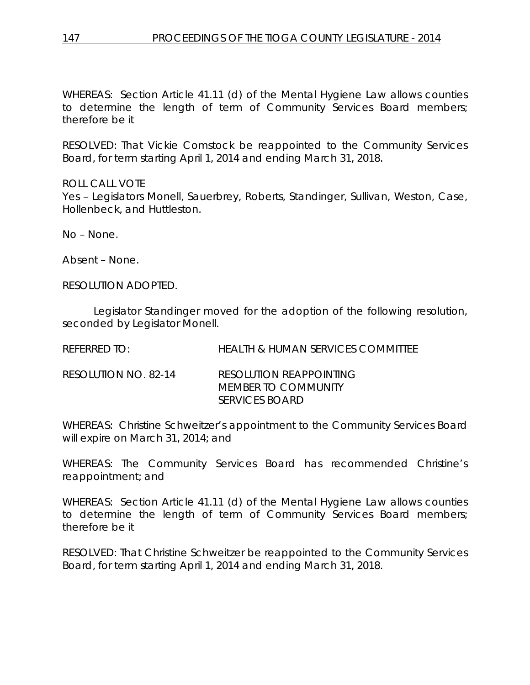WHEREAS: Section Article 41.11 (d) of the Mental Hygiene Law allows counties to determine the length of term of Community Services Board members; therefore be it

RESOLVED: That Vickie Comstock be reappointed to the Community Services Board, for term starting April 1, 2014 and ending March 31, 2018.

ROLL CALL VOTE

Yes – Legislators Monell, Sauerbrey, Roberts, Standinger, Sullivan, Weston, Case, Hollenbeck, and Huttleston.

No – None.

Absent – None.

RESOLUTION ADOPTED.

Legislator Standinger moved for the adoption of the following resolution, seconded by Legislator Monell.

REFERRED TO: HEALTH & HUMAN SERVICES COMMITTEE

RESOLUTION NO. 82-14 *RESOLUTION REAPPOINTING MEMBER TO COMMUNITY SERVICES BOARD*

WHEREAS: Christine Schweitzer's appointment to the Community Services Board will expire on March 31, 2014; and

WHEREAS: The Community Services Board has recommended Christine's reappointment; and

WHEREAS: Section Article 41.11 (d) of the Mental Hygiene Law allows counties to determine the length of term of Community Services Board members; therefore be it

RESOLVED: That Christine Schweitzer be reappointed to the Community Services Board, for term starting April 1, 2014 and ending March 31, 2018.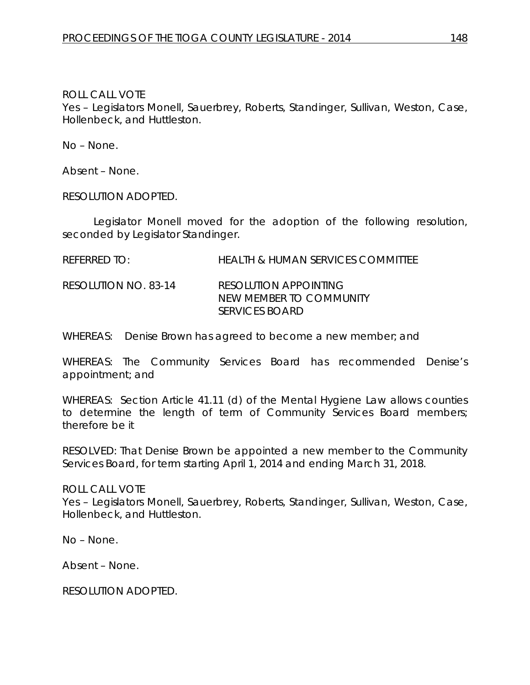# ROLL CALL VOTE

Yes – Legislators Monell, Sauerbrey, Roberts, Standinger, Sullivan, Weston, Case, Hollenbeck, and Huttleston.

No – None.

Absent – None.

RESOLUTION ADOPTED.

Legislator Monell moved for the adoption of the following resolution, seconded by Legislator Standinger.

REFERRED TO: HEALTH & HUMAN SERVICES COMMITTEE

RESOLUTION NO. 83-14 *RESOLUTION APPOINTING NEW MEMBER TO COMMUNITY SERVICES BOARD*

WHEREAS: Denise Brown has agreed to become a new member; and

WHEREAS: The Community Services Board has recommended Denise's appointment; and

WHEREAS: Section Article 41.11 (d) of the Mental Hygiene Law allows counties to determine the length of term of Community Services Board members; therefore be it

RESOLVED: That Denise Brown be appointed a new member to the Community Services Board, for term starting April 1, 2014 and ending March 31, 2018.

ROLL CALL VOTE Yes – Legislators Monell, Sauerbrey, Roberts, Standinger, Sullivan, Weston, Case, Hollenbeck, and Huttleston.

No – None.

Absent – None.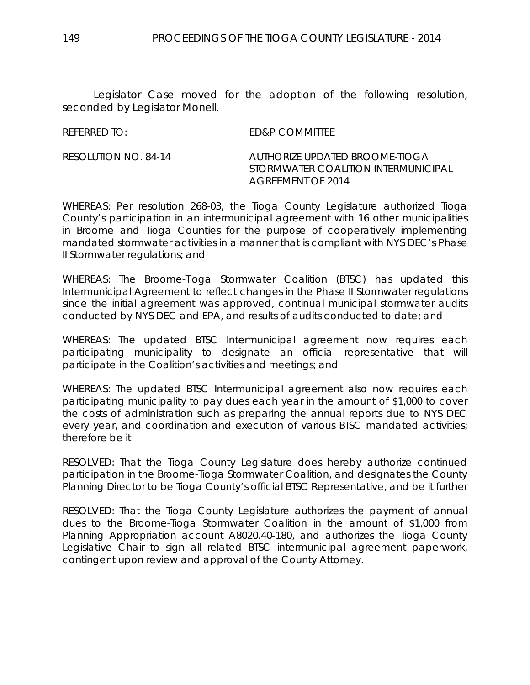Legislator Case moved for the adoption of the following resolution, seconded by Legislator Monell.

REFERRED TO: ED&P COMMITTEE

RESOLUTION NO. 84-14 *AUTHORIZE UPDATED BROOME-TIOGA STORMWATER COALITION INTERMUNICIPAL AGREEMENT OF 2014*

WHEREAS: Per resolution 268-03, the Tioga County Legislature authorized Tioga County's participation in an intermunicipal agreement with 16 other municipalities in Broome and Tioga Counties for the purpose of cooperatively implementing mandated stormwater activities in a manner that is compliant with NYS DEC's Phase II Stormwater regulations; and

WHEREAS: The Broome-Tioga Stormwater Coalition (BTSC) has updated this Intermunicipal Agreement to reflect changes in the Phase II Stormwater regulations since the initial agreement was approved, continual municipal stormwater audits conducted by NYS DEC and EPA, and results of audits conducted to date; and

WHEREAS: The updated BTSC Intermunicipal agreement now requires each participating municipality to designate an official representative that will participate in the Coalition's activities and meetings; and

WHEREAS: The updated BTSC Intermunicipal agreement also now requires each participating municipality to pay dues each year in the amount of \$1,000 to cover the costs of administration such as preparing the annual reports due to NYS DEC every year, and coordination and execution of various BTSC mandated activities; therefore be it

RESOLVED: That the Tioga County Legislature does hereby authorize continued participation in the Broome-Tioga Stormwater Coalition, and designates the County Planning Director to be Tioga County's official BTSC Representative, and be it further

RESOLVED: That the Tioga County Legislature authorizes the payment of annual dues to the Broome-Tioga Stormwater Coalition in the amount of \$1,000 from Planning Appropriation account A8020.40-180, and authorizes the Tioga County Legislative Chair to sign all related BTSC intermunicipal agreement paperwork, contingent upon review and approval of the County Attorney.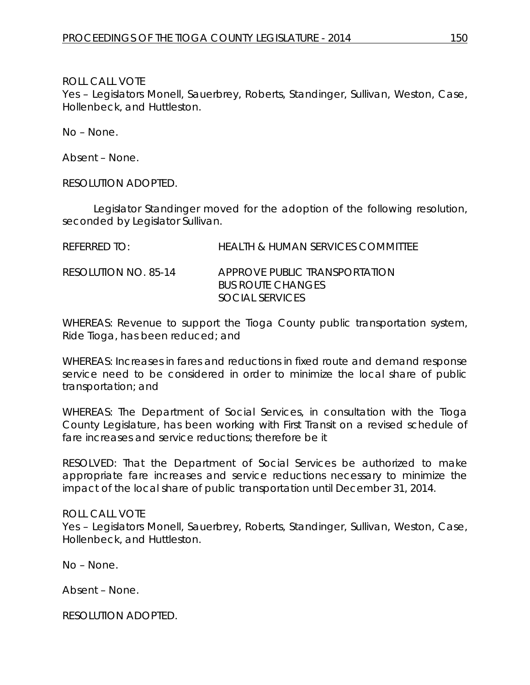ROLL CALL VOTE

Yes – Legislators Monell, Sauerbrey, Roberts, Standinger, Sullivan, Weston, Case, Hollenbeck, and Huttleston.

No – None.

Absent – None.

RESOLUTION ADOPTED.

Legislator Standinger moved for the adoption of the following resolution, seconded by Legislator Sullivan.

| <b>REFERRED TO:</b> | <b>HEALTH &amp; HUMAN SERVICES COMMITTEE</b> |  |
|---------------------|----------------------------------------------|--|
|                     |                                              |  |

RESOLUTION NO. 85-14 *APPROVE PUBLIC TRANSPORTATION BUS ROUTE CHANGES SOCIAL SERVICES*

WHEREAS: Revenue to support the Tioga County public transportation system, Ride Tioga, has been reduced; and

WHEREAS: Increases in fares and reductions in fixed route and demand response service need to be considered in order to minimize the local share of public transportation; and

WHEREAS: The Department of Social Services, in consultation with the Tioga County Legislature, has been working with First Transit on a revised schedule of fare increases and service reductions; therefore be it

RESOLVED: That the Department of Social Services be authorized to make appropriate fare increases and service reductions necessary to minimize the impact of the local share of public transportation until December 31, 2014.

ROLL CALL VOTE Yes – Legislators Monell, Sauerbrey, Roberts, Standinger, Sullivan, Weston, Case, Hollenbeck, and Huttleston.

No – None.

Absent – None.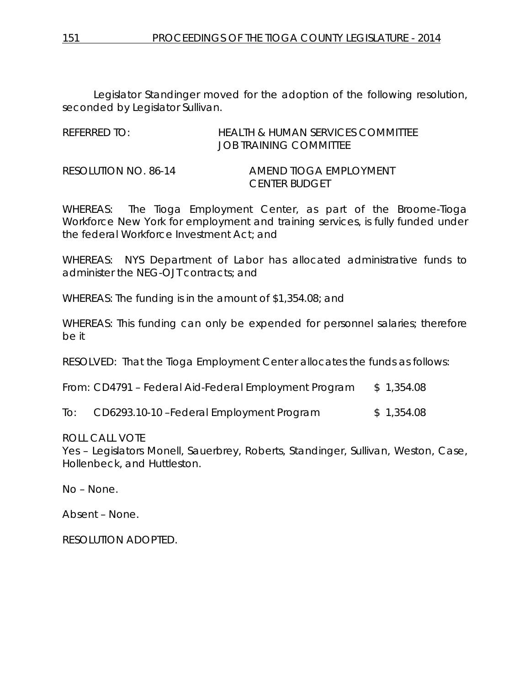Legislator Standinger moved for the adoption of the following resolution, seconded by Legislator Sullivan.

REFERRED TO: HEALTH & HUMAN SERVICES COMMITTEE JOB TRAINING COMMITTEE

RESOLUTION NO. 86-14 *AMEND TIOGA EMPLOYMENT CENTER BUDGET*

WHEREAS: The Tioga Employment Center, as part of the Broome-Tioga Workforce New York for employment and training services, is fully funded under the federal Workforce Investment Act; and

WHEREAS: NYS Department of Labor has allocated administrative funds to administer the NEG-OJT contracts; and

WHEREAS: The funding is in the amount of \$1,354.08; and

WHEREAS: This funding can only be expended for personnel salaries; therefore be it

RESOLVED: That the Tioga Employment Center allocates the funds as follows:

From: CD4791 – Federal Aid-Federal Employment Program \$ 1,354.08

To: CD6293.10-10 – Federal Employment Program \$ 1,354.08

ROLL CALL VOTE

Yes – Legislators Monell, Sauerbrey, Roberts, Standinger, Sullivan, Weston, Case, Hollenbeck, and Huttleston.

No – None.

Absent – None.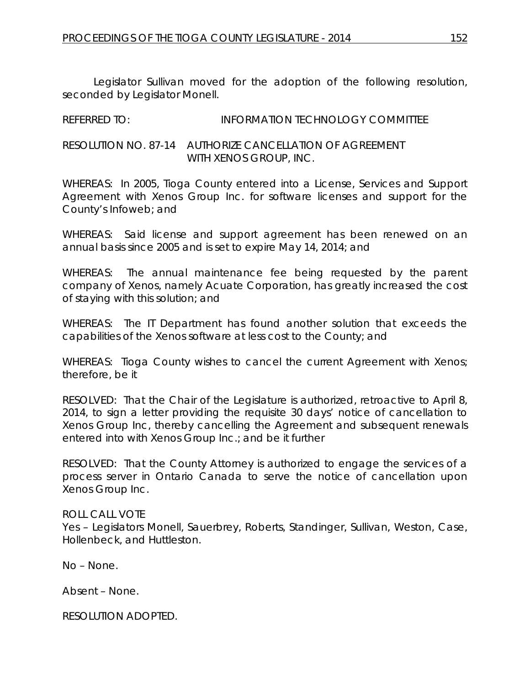Legislator Sullivan moved for the adoption of the following resolution, seconded by Legislator Monell.

| <b>REFERRED TO:</b> | <b>INFORMATION TECHNOLOGY COMMITTEE</b> |
|---------------------|-----------------------------------------|
|                     |                                         |

RESOLUTION NO. 87-14 *AUTHORIZE CANCELLATION OF AGREEMENT WITH XENOS GROUP, INC.*

WHEREAS: In 2005, Tioga County entered into a License, Services and Support Agreement with Xenos Group Inc. for software licenses and support for the County's Infoweb; and

WHEREAS: Said license and support agreement has been renewed on an annual basis since 2005 and is set to expire May 14, 2014; and

WHEREAS: The annual maintenance fee being requested by the parent company of Xenos, namely Acuate Corporation, has greatly increased the cost of staying with this solution; and

WHEREAS: The IT Department has found another solution that exceeds the capabilities of the Xenos software at less cost to the County; and

WHEREAS: Tioga County wishes to cancel the current Agreement with Xenos; therefore, be it

RESOLVED: That the Chair of the Legislature is authorized, retroactive to April 8, 2014, to sign a letter providing the requisite 30 days' notice of cancellation to Xenos Group Inc, thereby cancelling the Agreement and subsequent renewals entered into with Xenos Group Inc.; and be it further

RESOLVED: That the County Attorney is authorized to engage the services of a process server in Ontario Canada to serve the notice of cancellation upon Xenos Group Inc.

# ROLL CALL VOTE

Yes – Legislators Monell, Sauerbrey, Roberts, Standinger, Sullivan, Weston, Case, Hollenbeck, and Huttleston.

No – None.

Absent – None.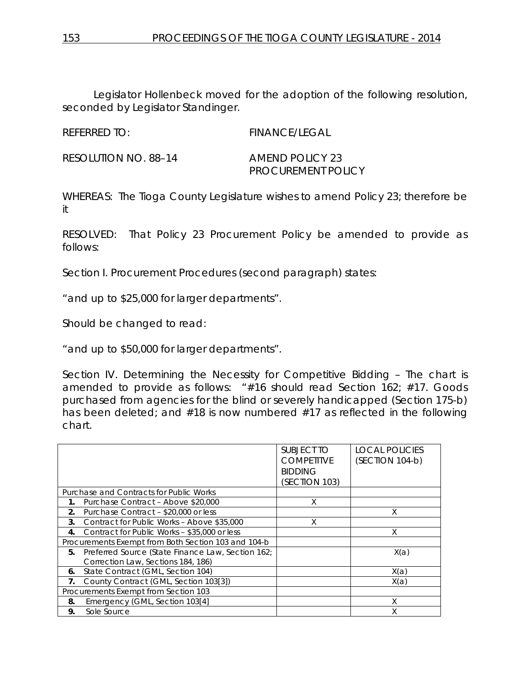Legislator Hollenbeck moved for the adoption of the following resolution, seconded by Legislator Standinger.

REFERRED TO: FINANCE/LEGAL

RESOLUTION NO. 88–14 *AMEND POLICY 23*

*PROCUREMENT POLICY*

WHEREAS: The Tioga County Legislature wishes to amend Policy 23; therefore be it

RESOLVED: That Policy 23 Procurement Policy be amended to provide as follows:

Section I. Procurement Procedures (second paragraph) states:

"and up to \$25,000 for larger departments".

Should be changed to read:

"and up to \$50,000 for larger departments".

Section IV. Determining the Necessity for Competitive Bidding – The chart is amended to provide as follows: "#16 should read Section 162; #17. Goods purchased from agencies for the blind or severely handicapped (Section 175-b) has been deleted; and #18 is now numbered #17 as reflected in the following chart.

|    |                                                     | SUBJECT TO<br><b>COMPETITVE</b> | <b>LOCAL POLICIES</b><br>(SECTION 104-b) |
|----|-----------------------------------------------------|---------------------------------|------------------------------------------|
|    |                                                     | <b>BIDDING</b>                  |                                          |
|    |                                                     | (SECTION 103)                   |                                          |
|    | Purchase and Contracts for Public Works             |                                 |                                          |
| 1. | Purchase Contract - Above \$20,000                  | X                               |                                          |
| 2. | Purchase Contract - \$20,000 or less                |                                 | Χ                                        |
| 3. | Contract for Public Works - Above \$35,000          | X                               |                                          |
| 4. | Contract for Public Works - \$35,000 or less        |                                 | X                                        |
|    | Procurements Exempt from Both Section 103 and 104-b |                                 |                                          |
| 5. | Preferred Source (State Finance Law, Section 162;   |                                 | X(a)                                     |
|    | Correction Law, Sections 184, 186)                  |                                 |                                          |
| 6. | State Contract (GML, Section 104)                   |                                 | X(a)                                     |
| 7. | County Contract (GML, Section 103[3])               |                                 | X(a)                                     |
|    | Procurements Exempt from Section 103                |                                 |                                          |
| 8. | Emergency (GML, Section 103[4]                      |                                 | X                                        |
| 9. | Sole Source                                         |                                 | Χ                                        |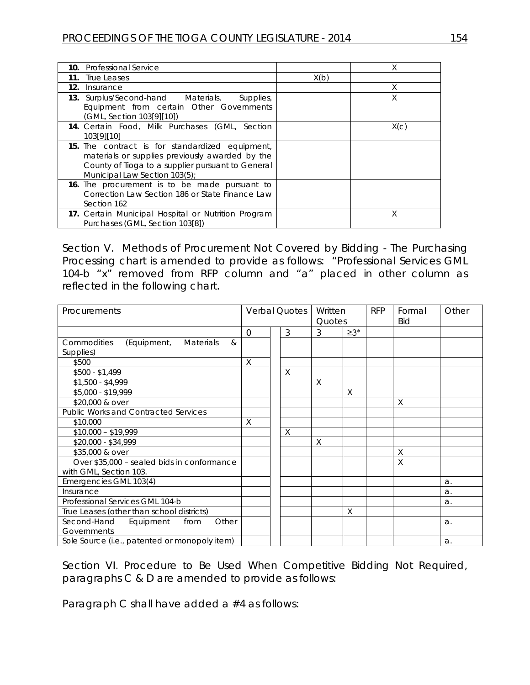| 10. Professional Service                                                                                                                                                                 |      | Χ    |
|------------------------------------------------------------------------------------------------------------------------------------------------------------------------------------------|------|------|
| True Leases<br>11.                                                                                                                                                                       | X(b) |      |
| 12.<br>Insurance                                                                                                                                                                         |      | X    |
| <b>13.</b> Surplus/Second-hand Materials,<br>Supplies,<br>Equipment from certain Other Governments<br>(GML, Section 103[9][10])                                                          |      | Χ    |
| 14. Certain Food, Milk Purchases (GML, Section<br>103[9][10]                                                                                                                             |      | X(c) |
| 15. The contract is for standardized equipment,<br>materials or supplies previously awarded by the<br>County of Tioga to a supplier pursuant to General<br>Municipal Law Section 103(5); |      |      |
| 16. The procurement is to be made pursuant to<br>Correction Law Section 186 or State Finance Law<br>Section 162                                                                          |      |      |
| 17. Certain Municipal Hospital or Nutrition Program<br>Purchases (GML, Section 103[8])                                                                                                   |      | X    |

Section V. Methods of Procurement Not Covered by Bidding - The Purchasing Processing chart is amended to provide as follows: "Professional Services GML 104-b "x" removed from RFP column and "a" placed in other column as reflected in the following chart.

| Procurements                                                                         |          | <b>Verbal Quotes</b> |   | Written |            | <b>RFP</b> | Formal | Other |
|--------------------------------------------------------------------------------------|----------|----------------------|---|---------|------------|------------|--------|-------|
|                                                                                      |          |                      |   | Quotes  |            |            | Bid    |       |
|                                                                                      | $\Omega$ |                      | 3 | 3       | $\geq 3^*$ |            |        |       |
| $\mathcal{R}_{\mathcal{L}}$<br><b>Commodities</b><br>(Equipment,<br><b>Materials</b> |          |                      |   |         |            |            |        |       |
| Supplies)                                                                            |          |                      |   |         |            |            |        |       |
| \$500                                                                                | X        |                      |   |         |            |            |        |       |
| \$500 - \$1,499                                                                      |          |                      | X |         |            |            |        |       |
| $$1,500 - $4,999$                                                                    |          |                      |   | X       |            |            |        |       |
| \$5,000 - \$19,999                                                                   |          |                      |   |         | X          |            |        |       |
| \$20,000 & over                                                                      |          |                      |   |         |            |            | X      |       |
| <b>Public Works and Contracted Services</b>                                          |          |                      |   |         |            |            |        |       |
| \$10,000                                                                             | X        |                      |   |         |            |            |        |       |
| $$10,000 - $19,999$                                                                  |          |                      | X |         |            |            |        |       |
| \$20,000 - \$34,999                                                                  |          |                      |   | X       |            |            |        |       |
| \$35,000 & over                                                                      |          |                      |   |         |            |            | X      |       |
| Over \$35,000 - sealed bids in conformance                                           |          |                      |   |         |            |            | X      |       |
| with GML, Section 103.                                                               |          |                      |   |         |            |            |        |       |
| Emergencies GML 103(4)                                                               |          |                      |   |         |            |            |        | a.    |
| Insurance                                                                            |          |                      |   |         |            |            |        | a.    |
| Professional Services GML 104-b                                                      |          |                      |   |         |            |            |        | a.    |
| True Leases (other than school districts)                                            |          |                      |   |         | X          |            |        |       |
| Second-Hand<br>Other<br>Equipment<br>from                                            |          |                      |   |         |            |            |        | a.    |
| Governments                                                                          |          |                      |   |         |            |            |        |       |
| Sole Source (i.e., patented or monopoly item)                                        |          |                      |   |         |            |            |        | a.    |

Section VI. Procedure to Be Used When Competitive Bidding Not Required, paragraphs C & D are amended to provide as follows:

Paragraph C shall have added a #4 as follows: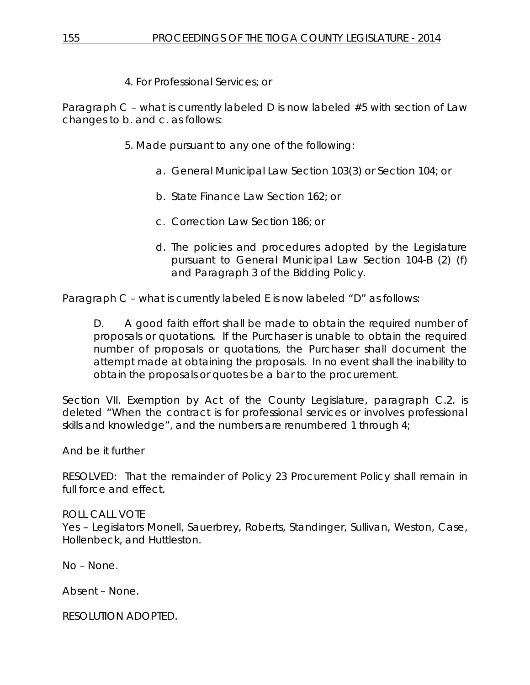4. For Professional Services; or

Paragraph C – what is currently labeled D is now labeled #5 with section of Law changes to b. and c. as follows:

- 5. Made pursuant to any one of the following:
	- a. General Municipal Law Section 103(3) or Section 104; or
	- b. State Finance Law Section 162; or
	- c. Correction Law Section 186; or
	- d. The policies and procedures adopted by the Legislature pursuant to General Municipal Law Section 104-B (2) (f) and Paragraph 3 of the Bidding Policy.

Paragraph C – what is currently labeled E is now labeled "D" as follows:

D. A good faith effort shall be made to obtain the required number of proposals or quotations. If the Purchaser is unable to obtain the required number of proposals or quotations, the Purchaser shall document the attempt made at obtaining the proposals. In no event shall the inability to obtain the proposals or quotes be a bar to the procurement.

Section VII. Exemption by Act of the County Legislature, paragraph C.2. is deleted "When the contract is for professional services or involves professional skills and knowledge", and the numbers are renumbered 1 through 4;

And be it further

RESOLVED: That the remainder of Policy 23 Procurement Policy shall remain in full force and effect.

ROLL CALL VOTE Yes – Legislators Monell, Sauerbrey, Roberts, Standinger, Sullivan, Weston, Case, Hollenbeck, and Huttleston.

No – None.

Absent – None.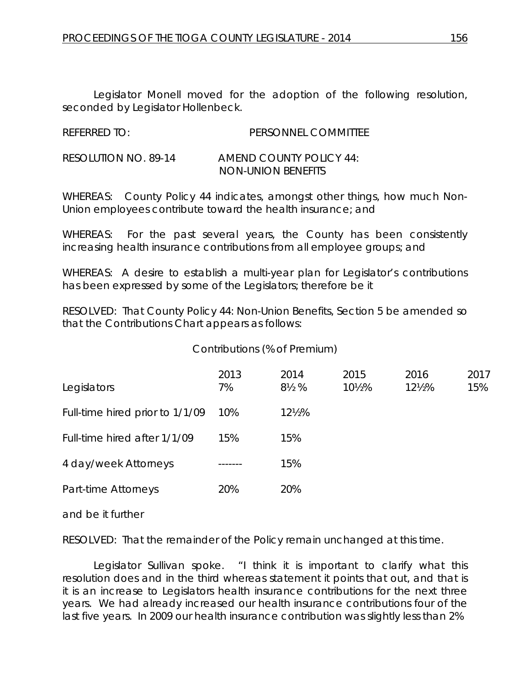Legislator Monell moved for the adoption of the following resolution, seconded by Legislator Hollenbeck.

| <b>REFERRED TO:</b> | PERSONNEL COMMITTEE |
|---------------------|---------------------|

| RESOLUTION NO. 89-14 | <b>AMEND COUNTY POLICY 44:</b> |
|----------------------|--------------------------------|
|                      | <b>NON-UNION BENEFITS</b>      |

WHEREAS: County Policy 44 indicates, amongst other things, how much Non-Union employees contribute toward the health insurance; and

WHEREAS: For the past several years, the County has been consistently increasing health insurance contributions from all employee groups; and

WHEREAS: A desire to establish a multi-year plan for Legislator's contributions has been expressed by some of the Legislators; therefore be it

RESOLVED: That County Policy 44: Non-Union Benefits, Section 5 be amended so that the Contributions Chart appears as follows:

# Contributions (% of Premium)

| Legislators                     | 2013<br>7% | 2014<br>$8\frac{1}{2}$ % | 2015<br>$10\frac{1}{2}\%$ | 2016<br>$12\frac{1}{2}\%$ | 2017<br>15% |
|---------------------------------|------------|--------------------------|---------------------------|---------------------------|-------------|
| Full-time hired prior to 1/1/09 | 10%        | 121/2%                   |                           |                           |             |
| Full-time hired after 1/1/09    | 15%        | 15%                      |                           |                           |             |
| 4 day/week Attorneys            | -------    | 15%                      |                           |                           |             |
| Part-time Attorneys             | 20%        | 20%                      |                           |                           |             |

and be it further

RESOLVED: That the remainder of the Policy remain unchanged at this time.

Legislator Sullivan spoke. "I think it is important to clarify what this resolution does and in the third whereas statement it points that out, and that is it is an increase to Legislators health insurance contributions for the next three years. We had already increased our health insurance contributions four of the last five years. In 2009 our health insurance contribution was slightly less than 2%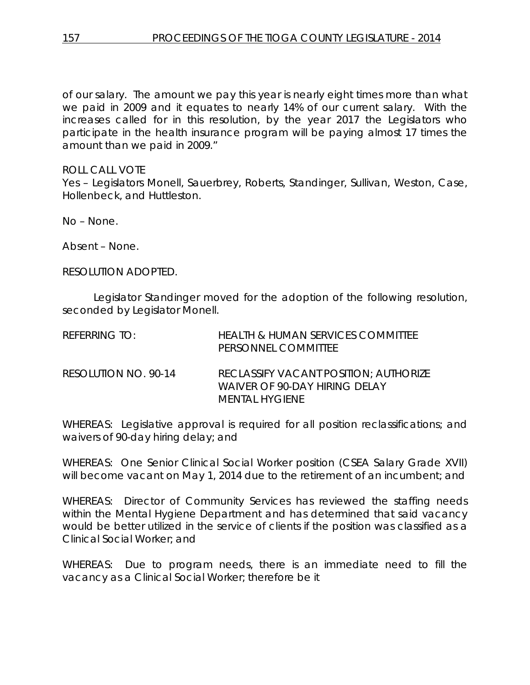of our salary. The amount we pay this year is nearly eight times more than what we paid in 2009 and it equates to nearly 14% of our current salary. With the increases called for in this resolution, by the year 2017 the Legislators who participate in the health insurance program will be paying almost 17 times the amount than we paid in 2009."

# ROLL CALL VOTE

Yes – Legislators Monell, Sauerbrey, Roberts, Standinger, Sullivan, Weston, Case, Hollenbeck, and Huttleston.

No – None.

Absent – None.

RESOLUTION ADOPTED.

Legislator Standinger moved for the adoption of the following resolution, seconded by Legislator Monell.

| REFERRING TO:        | HEALTH & HUMAN SERVICES COMMITTEE<br>PERSONNEL COMMITTEE                                 |
|----------------------|------------------------------------------------------------------------------------------|
| RESOLUTION NO. 90-14 | RECLASSIFY VACANT POSITION; AUTHORIZE<br>WAIVER OF 90-DAY HIRING DELAY<br>MENTAL HYGIENE |

WHEREAS: Legislative approval is required for all position reclassifications; and waivers of 90-day hiring delay; and

WHEREAS: One Senior Clinical Social Worker position (CSEA Salary Grade XVII) will become vacant on May 1, 2014 due to the retirement of an incumbent; and

WHEREAS: Director of Community Services has reviewed the staffing needs within the Mental Hygiene Department and has determined that said vacancy would be better utilized in the service of clients if the position was classified as a Clinical Social Worker; and

WHEREAS: Due to program needs, there is an immediate need to fill the vacancy as a Clinical Social Worker; therefore be it